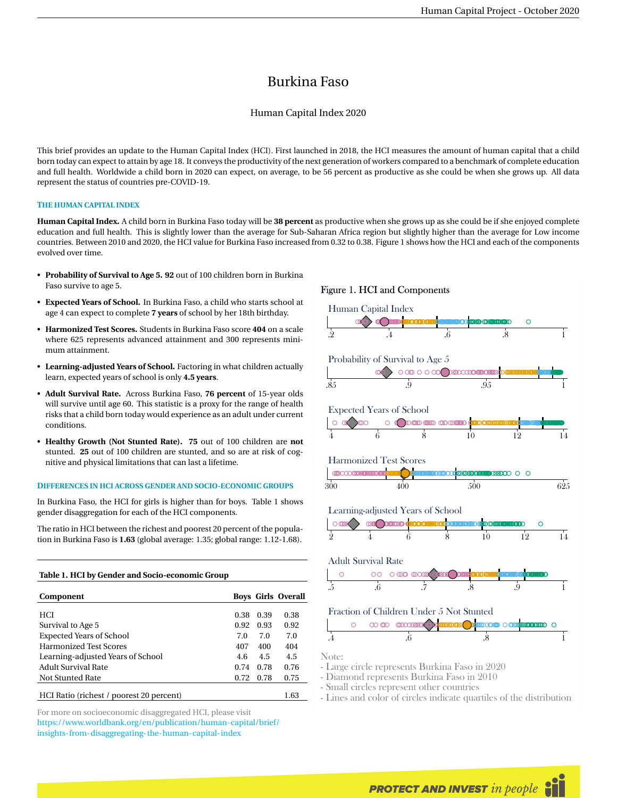# Burkina Faso

## Human Capital Index 2020

This brief provides an update to the Human Capital Index (HCI). First launched in 2018, the HCI measures the amount of human capital that a child born today can expect to attain by age 18. It conveys the productivity of the next generation of workers compared to a benchmark of complete education and full health. Worldwide a child born in 2020 can expect, on average, to be 56 percent as productive as she could be when she grows up. All data represent the status of countries pre-COVID-19.

## **THE HUMAN CAPITAL INDEX**

**Human Capital Index.** A child born in Burkina Faso today will be **38 percent** as productive when she grows up as she could be if she enjoyed complete education and full health. This is slightly lower than the average for Sub-Saharan Africa region but slightly higher than the average for Low income countries. Between 2010 and 2020, the HCI value for Burkina Faso increased from 0.32 to 0.38. Figure 1 shows how the HCI and each of the components evolved over time.

- **Probability of Survival to Age 5. 92** out of 100 children born in Burkina Faso survive to age 5.
- **Expected Years of School.** In Burkina Faso, a child who starts school at age 4 can expect to complete **7 years** of school by her 18th birthday.
- **Harmonized Test Scores.** Students in Burkina Faso score **404** on a scale where 625 represents advanced attainment and 300 represents minimum attainment.
- **Learning-adjusted Years of School.** Factoring in what children actually learn, expected years of school is only **4.5 years**.
- **Adult Survival Rate.** Across Burkina Faso, **76 percent** of 15-year olds will survive until age 60. This statistic is a proxy for the range of health risks that a child born today would experience as an adult under current conditions.
- **Healthy Growth (Not Stunted Rate). 75** out of 100 children are **not** stunted. **25** out of 100 children are stunted, and so are at risk of cognitive and physical limitations that can last a lifetime.

#### **DIFFERENCES IN HCI ACROSS GENDER AND SOCIO-ECONOMIC GROUPS**

In Burkina Faso, the HCI for girls is higher than for boys. Table 1 shows gender disaggregation for each of the HCI components.

The ratio in HCI between the richest and poorest 20 percent of the population in Burkina Faso is **1.63** (global average: 1.35; global range: 1.12-1.68).

# **Table 1. HCI by Gender and Socio-economic Group**

| Component                                |      |      | <b>Boys Girls Overall</b> |
|------------------------------------------|------|------|---------------------------|
| <b>HCI</b>                               | 0.38 | 0.39 | 0.38                      |
|                                          |      |      |                           |
| Survival to Age 5                        | 0.92 | 0.93 | 0.92                      |
| <b>Expected Years of School</b>          | 7.0  | 7.0  | 7.0                       |
| <b>Harmonized Test Scores</b>            | 407  | 400  | 404                       |
| Learning-adjusted Years of School        | 4.6  | 4.5  | 4.5                       |
| <b>Adult Survival Rate</b>               | 0.74 | 0.78 | 0.76                      |
| Not Stunted Rate                         | 0.72 | 0.78 | 0.75                      |
| HCI Ratio (richest / poorest 20 percent) |      |      | 1.63                      |
|                                          |      |      |                           |

For more on socioeconomic disaggregated HCI, please visit [https://www.worldbank.org/en/publication/human-capital/brief/](https://www.worldbank.org/en/publication/human-capital/brief/insights-from-disaggregating-the-human-capital-index) [insights-from-disaggregating-the-human-capital-index](https://www.worldbank.org/en/publication/human-capital/brief/insights-from-disaggregating-the-human-capital-index)

#### Figure 1. HCI and Components



- Lines and color of circles indicate quartiles of the distribution